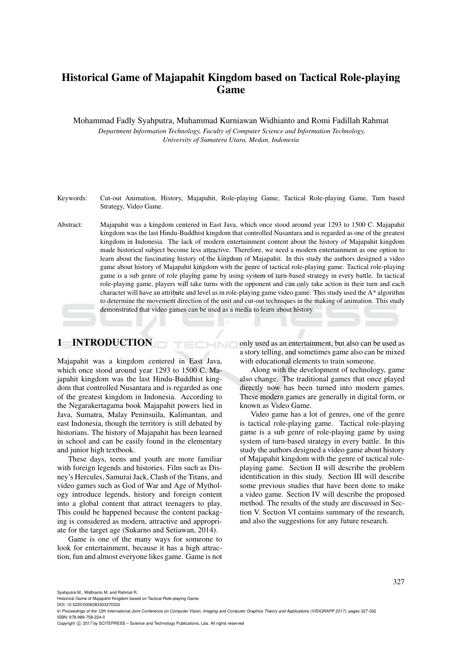# Historical Game of Majapahit Kingdom based on Tactical Role-playing Game

Mohammad Fadly Syahputra, Muhammad Kurniawan Widhianto and Romi Fadillah Rahmat

*Department Information Technology, Faculty of Computer Science and Information Technology, University of Sumatera Utara, Medan, Indonesia*

- Keywords: Cut-out Animation, History, Majapahit, Role-playing Game, Tactical Role-playing Game, Turn based Strategy, Video Game.
- Abstract: Majapahit was a kingdom centered in East Java, which once stood around year 1293 to 1500 C. Majapahit kingdom was the last Hindu-Buddhist kingdom that controlled Nusantara and is regarded as one of the greatest kingdom in Indonesia. The lack of modern entertainment content about the history of Majapahit kingdom made historical subject become less attractive. Therefore, we need a modern entertainment as one option to learn about the fascinating history of the kingdom of Majapahit. In this study the authors designed a video game about history of Majapahit kingdom with the genre of tactical role-playing game. Tactical role-playing game is a sub genre of role playing game by using system of turn-based strategy in every battle. In tactical role-playing game, players will take turns with the opponent and can only take action in their turn and each character will have an attribute and level as in role-playing game video game. This study used the A\* algorithm to determine the movement direction of the unit and cut-out techniques in the making of animation. This study demonstrated that video games can be used as a media to learn about history.

HNC

# 1 INTRODUCTION

Majapahit was a kingdom centered in East Java, which once stood around year 1293 to 1500 C. Majapahit kingdom was the last Hindu-Buddhist kingdom that controlled Nusantara and is regarded as one of the greatest kingdom in Indonesia. According to the Negarakertagama book Majapahit powers lied in Java, Sumatra, Malay Peninsuila, Kalimantan, and east Indonesia, though the territory is still debated by historians. The history of Majapahit has been learned in school and can be easily found in the elementary and junior high textbook.

These days, teens and youth are more familiar with foreign legends and histories. Film such as Disney's Hercules, Samurai Jack, Clash of the Titans, and video games such as God of War and Age of Mythology introduce legends, history and foreign content into a global content that attract teenagers to play. This could be happened because the content packaging is considered as modern, attractive and appropriate for the target age (Sukarno and Setiawan, 2014).

Game is one of the many ways for someone to look for entertainment, because it has a high attraction, fun and almost everyone likes game. Game is not only used as an entertainment, but also can be used as a story telling, and sometimes game also can be mixed with educational elements to train someone.

Along with the development of technology, game also change. The traditional games that once played directly now has been turned into modern games. These modern games are generally in digital form, or known as Video Game.

Video game has a lot of genres, one of the genre is tactical role-playing game. Tactical role-playing game is a sub genre of role-playing game by using system of turn-based strategy in every battle. In this study the authors designed a video game about history of Majapahit kingdom with the genre of tactical roleplaying game. Section II will describe the problem identification in this study. Section III will describe some previous studies that have been done to make a video game. Section IV will describe the proposed method. The results of the study are discussed in Section V. Section VI contains summary of the research, and also the suggestions for any future research.

327

Syahputra M., Widhianto M. and Rahmat R.

Historical Game of Majapahit Kingdom based on Tactical Role-playing Game.

DOI: 10.5220/0006283303270332

In *Proceedings of the 12th International Joint Conference on Computer Vision, Imaging and Computer Graphics Theory and Applications (VISIGRAPP 2017)*, pages 327-332 ISBN: 978-989-758-224-0

Copyright © 2017 by SCITEPRESS - Science and Technology Publications, Lda. All rights reserved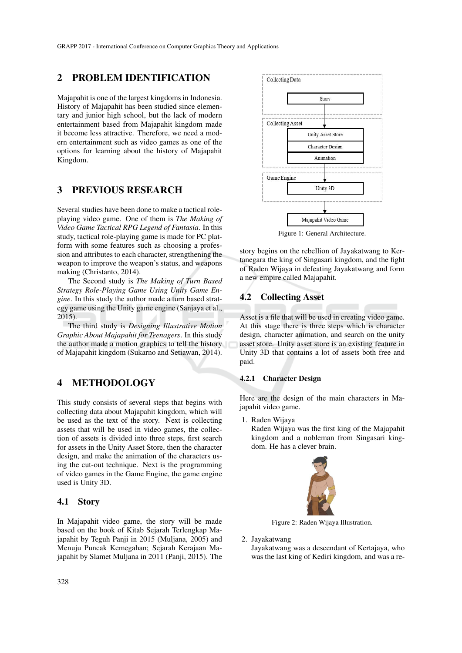### 2 PROBLEM IDENTIFICATION

Majapahit is one of the largest kingdoms in Indonesia. History of Majapahit has been studied since elementary and junior high school, but the lack of modern entertainment based from Majapahit kingdom made it become less attractive. Therefore, we need a modern entertainment such as video games as one of the options for learning about the history of Majapahit Kingdom.

# 3 PREVIOUS RESEARCH

Several studies have been done to make a tactical roleplaying video game. One of them is *The Making of Video Game Tactical RPG Legend of Fantasia*. In this study, tactical role-playing game is made for PC platform with some features such as choosing a profession and attributes to each character, strengthening the weapon to improve the weapon's status, and weapons making (Christanto, 2014).

The Second study is *The Making of Turn Based Strategy Role-Playing Game Using Unity Game Engine*. In this study the author made a turn based strategy game using the Unity game engine (Sanjaya et al., 2015).

The third study is *Designing Illustrative Motion Graphic About Majapahit for Teenagers*. In this study the author made a motion graphics to tell the history of Majapahit kingdom (Sukarno and Setiawan, 2014).

## 4 METHODOLOGY

This study consists of several steps that begins with collecting data about Majapahit kingdom, which will be used as the text of the story. Next is collecting assets that will be used in video games, the collection of assets is divided into three steps, first search for assets in the Unity Asset Store, then the character design, and make the animation of the characters using the cut-out technique. Next is the programming of video games in the Game Engine, the game engine used is Unity 3D.

### 4.1 Story

In Majapahit video game, the story will be made based on the book of Kitab Sejarah Terlengkap Majapahit by Teguh Panji in 2015 (Muljana, 2005) and Menuju Puncak Kemegahan; Sejarah Kerajaan Majapahit by Slamet Muljana in 2011 (Panji, 2015). The



Figure 1: General Architecture.

story begins on the rebellion of Jayakatwang to Kertanegara the king of Singasari kingdom, and the fight of Raden Wijaya in defeating Jayakatwang and form a new empire called Majapahit.

### 4.2 Collecting Asset

Asset is a file that will be used in creating video game. At this stage there is three steps which is character design, character animation, and search on the unity asset store. Unity asset store is an existing feature in Unity 3D that contains a lot of assets both free and paid.

### 4.2.1 Character Design

Here are the design of the main characters in Majapahit video game.

1. Raden Wijaya

Raden Wijaya was the first king of the Majapahit kingdom and a nobleman from Singasari kingdom. He has a clever brain.



Figure 2: Raden Wijaya Illustration.

2. Jayakatwang

Jayakatwang was a descendant of Kertajaya, who was the last king of Kediri kingdom, and was a re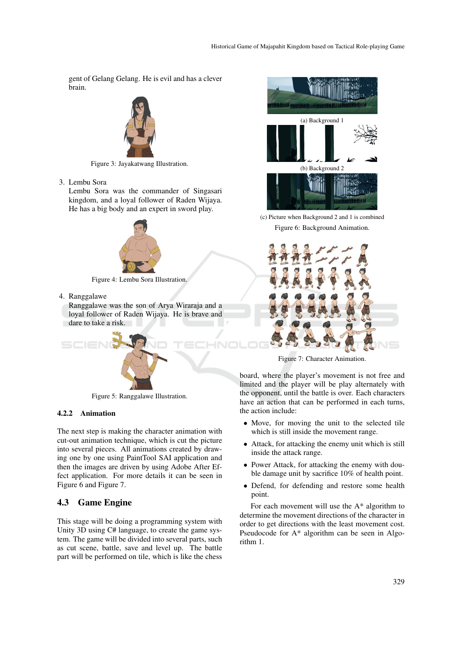gent of Gelang Gelang. He is evil and has a clever brain.



Figure 3: Jayakatwang Illustration.

3. Lembu Sora

Lembu Sora was the commander of Singasari kingdom, and a loyal follower of Raden Wijaya. He has a big body and an expert in sword play.



Figure 4: Lembu Sora Illustration.

4. Ranggalawe

Ranggalawe was the son of Arya Wiraraja and a loyal follower of Raden Wijaya. He is brave and dare to take a risk.



Figure 5: Ranggalawe Illustration.

#### 4.2.2 Animation

The next step is making the character animation with cut-out animation technique, which is cut the picture into several pieces. All animations created by drawing one by one using PaintTool SAI application and then the images are driven by using Adobe After Effect application. For more details it can be seen in Figure 6 and Figure 7.

### 4.3 Game Engine

This stage will be doing a programming system with Unity 3D using C# language, to create the game system. The game will be divided into several parts, such as cut scene, battle, save and level up. The battle part will be performed on tile, which is like the chess



(c) Picture when Background 2 and 1 is combined Figure 6: Background Animation.



Figure 7: Character Animation.

board, where the player's movement is not free and limited and the player will be play alternately with the opponent, until the battle is over. Each characters have an action that can be performed in each turns, the action include:

- Move, for moving the unit to the selected tile which is still inside the movement range.
- Attack, for attacking the enemy unit which is still inside the attack range.
- Power Attack, for attacking the enemy with double damage unit by sacrifice 10% of health point.
- Defend, for defending and restore some health point.

For each movement will use the  $A^*$  algorithm to determine the movement directions of the character in order to get directions with the least movement cost. Pseudocode for A\* algorithm can be seen in Algorithm 1.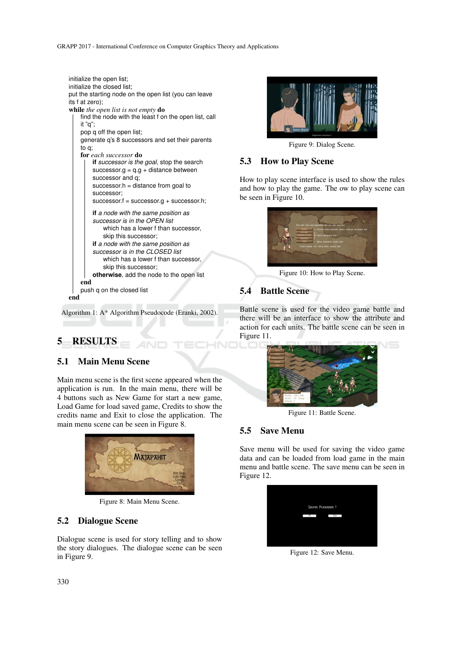

Algorithm 1: A\* Algorithm Pseudocode (Eranki, 2002).

# 5 RESULTS

## 5.1 Main Menu Scene

Main menu scene is the first scene appeared when the application is run. In the main menu, there will be 4 buttons such as New Game for start a new game, Load Game for load saved game, Credits to show the credits name and Exit to close the application. The main menu scene can be seen in Figure 8.



Figure 8: Main Menu Scene.

### 5.2 Dialogue Scene

Dialogue scene is used for story telling and to show the story dialogues. The dialogue scene can be seen in Figure 9.



Figure 9: Dialog Scene.

### 5.3 How to Play Scene

How to play scene interface is used to show the rules and how to play the game. The ow to play scene can be seen in Figure 10.



Figure 10: How to Play Scene.

# 5.4 Battle Scene

Battle scene is used for the video game battle and there will be an interface to show the attribute and action for each units. The battle scene can be seen in Figure 11.



Figure 11: Battle Scene.

### 5.5 Save Menu

Save menu will be used for saving the video game data and can be loaded from load game in the main menu and battle scene. The save menu can be seen in Figure 12.

| SIMPAN PERMAINAN ? |
|--------------------|
| YK<br>Tox          |
|                    |
|                    |
|                    |

Figure 12: Save Menu.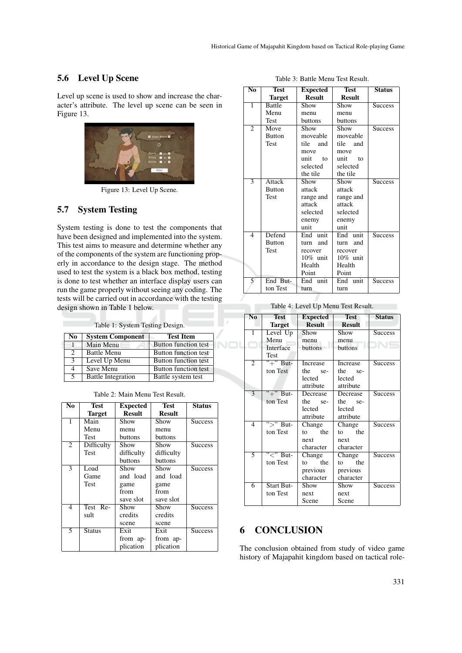### 5.6 Level Up Scene

Level up scene is used to show and increase the character's attribute. The level up scene can be seen in Figure 13.



Figure 13: Level Up Scene.

## 5.7 System Testing

System testing is done to test the components that have been designed and implemented into the system. This test aims to measure and determine whether any of the components of the system are functioning properly in accordance to the design stage. The method used to test the system is a black box method, testing is done to test whether an interface display users can run the game properly without seeing any coding. The tests will be carried out in accordance with the testing design shown in Table 1 below.

Table 1: System Testing Design.

| No                          | <b>System Component</b>   | <b>Test Item</b>            |
|-----------------------------|---------------------------|-----------------------------|
|                             | Main Menu                 | <b>Button function test</b> |
| $\mathcal{D}_{\mathcal{L}}$ | <b>Battle Menu</b>        | Button function test        |
| -3                          | Level Up Menu             | <b>Button function test</b> |
|                             | Save Menu                 | <b>Button function test</b> |
| 5                           | <b>Battle Integration</b> | Battle system test          |

| No             | <b>Test</b><br><b>Target</b> | <b>Expected</b><br><b>Result</b> | <b>Test</b><br><b>Result</b> | <b>Status</b>  |
|----------------|------------------------------|----------------------------------|------------------------------|----------------|
| 1              | Main                         | Show                             | Show                         | <b>Success</b> |
|                | Menu                         | menu                             | menu                         |                |
|                | Test                         | buttons                          | buttons                      |                |
| $\overline{c}$ | Difficulty                   | Show                             | Show                         | <b>Success</b> |
|                | <b>Test</b>                  | difficulty                       | difficulty                   |                |
|                |                              | buttons                          | buttons                      |                |
| $\overline{3}$ | Load                         | Show                             | Show                         | <b>Success</b> |
|                | Game                         | and load                         | and load                     |                |
|                | Test                         | game                             | game                         |                |
|                |                              | from                             | from                         |                |
|                |                              | save slot                        | save slot                    |                |
| 4              | Test Re-                     | Show                             | Show                         | <b>Success</b> |
|                | sult                         | credits                          | credits                      |                |
|                |                              | scene                            | scene                        |                |
| 5              | <b>Status</b>                | Exit                             | Exit                         | <b>Success</b> |
|                |                              | from ap-                         | from ap-                     |                |
|                |                              | plication                        | plication                    |                |

| Table 2: Main Menu Test Result. |  |  |
|---------------------------------|--|--|
|                                 |  |  |

| No                      | <b>Test</b>   | <b>Expected</b>  | <b>Test</b>   | <b>Status</b>  |
|-------------------------|---------------|------------------|---------------|----------------|
|                         | <b>Target</b> | <b>Result</b>    | <b>Result</b> |                |
| ī                       | Battle        | Show             | Show          | <b>Success</b> |
|                         | Menu          | menu             | menu          |                |
|                         | Test          | buttons          | buttons       |                |
| $\overline{2}$          | Move          | Show             | Show          | <b>Success</b> |
|                         | <b>Button</b> | moveable         | moveable      |                |
|                         | Test          | tile and         | tile<br>and   |                |
|                         |               | move             | move          |                |
|                         |               | unit<br>to       | unit<br>to    |                |
|                         |               | selected         | selected      |                |
|                         |               | the tile         | the tile      |                |
| $\overline{\mathbf{3}}$ | Attack        | Show             | Show          | <b>Success</b> |
|                         | <b>Button</b> | attack           | attack        |                |
|                         | <b>Test</b>   | range and        | range and     |                |
|                         |               | attack<br>attack |               |                |
|                         |               | selected         | selected      |                |
|                         |               | enemy<br>enemy   |               |                |
|                         |               | unit             | unit          |                |
| $\overline{4}$          | Defend        | End<br>unit      | End<br>unit   | <b>Success</b> |
|                         | <b>Button</b> | and<br>turn      | and<br>turn   |                |
|                         | Test          | recover          | recover       |                |
|                         |               | 10% unit         | $10\%$ unit   |                |
|                         |               | Health           | Health        |                |
|                         |               | Point            | Point         |                |
| 5                       | End But-      | unit<br>End      | unit<br>End   | <b>Success</b> |
|                         | ton Test      | turn             | turn          |                |

Table 3: Battle Menu Test Result.

Table 4: Level Up Menu Test Result.

| $\overline{\text{No}}$   | <b>Test</b>            | <b>Expected</b>        | <b>Test</b>     | <b>Status</b>  |
|--------------------------|------------------------|------------------------|-----------------|----------------|
|                          | <b>Target</b>          | <b>Result</b>          | <b>Result</b>   |                |
| $\overline{1}$           | Level Up               | Show                   | Show            | <b>Success</b> |
|                          | Menu                   | menu                   | menu            |                |
|                          | Interface              | buttons                | buttons         |                |
|                          | <b>Test</b>            |                        |                 |                |
| $\overline{c}$           | $"+'$ But-             | <b>Increase</b>        | <b>Increase</b> | <b>Success</b> |
|                          | ton Test               | the<br>se-             | the se-         |                |
|                          |                        | lected                 | lected          |                |
|                          |                        | attribute              | attribute       |                |
| 3                        | $"+'$ But-             | Decrease               | Decrease        | <b>Success</b> |
|                          | ton Test               | the se-                | the se-         |                |
|                          |                        | lected                 | lected          |                |
|                          |                        | attribute              | attribute       |                |
| $\overline{\mathcal{L}}$ | $\overline{''>}$ "But- | Change                 | Change          | <b>Success</b> |
|                          | ton Test               | the<br>tΩ              | to the          |                |
|                          |                        | next                   | next            |                |
|                          |                        | character              | character       |                |
| 5                        | $\overline{C}$ But-    | Change                 | Change          | <b>Success</b> |
|                          | ton Test               | the<br>to              | the<br>to       |                |
|                          |                        | previous               | previous        |                |
|                          |                        | character<br>character |                 |                |
| 6                        | <b>Start But-</b>      | Show<br>Show           |                 | <b>Success</b> |
|                          | ton Test               | next<br>next           |                 |                |
|                          |                        | Scene<br>Scene         |                 |                |

## 6 CONCLUSION

The conclusion obtained from study of video game history of Majapahit kingdom based on tactical role-